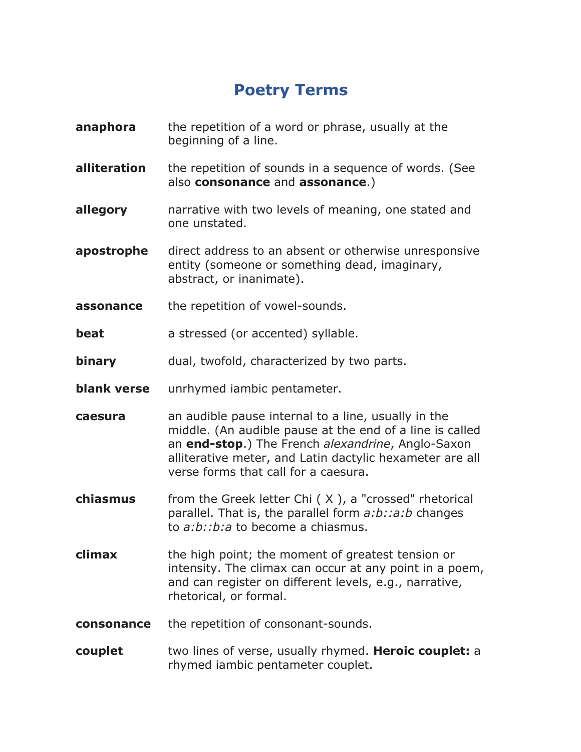## **Poetry Terms**

- **anaphora** the repetition of a word or phrase, usually at the beginning of a line.
- **alliteration** the repetition of sounds in a sequence of words. (See also **consonance** and **assonance**.)
- **allegory** and narrative with two levels of meaning, one stated and one unstated.
- **apostrophe** direct address to an absent or otherwise unresponsive entity (someone or something dead, imaginary, abstract, or inanimate).
- **assonance** the repetition of vowel-sounds.
- **beat** a stressed (or accented) syllable.
- **binary** dual, twofold, characterized by two parts.
- **blank verse** unrhymed iambic pentameter.
- **caesura** an audible pause internal to a line, usually in the middle. (An audible pause at the end of a line is called an **end-stop**.) The French *alexandrine*, Anglo-Saxon alliterative meter, and Latin dactylic hexameter are all verse forms that call for a caesura.
- **chiasmus** from the Greek letter Chi ( X ), a "crossed" rhetorical parallel. That is, the parallel form *a:b::a:b* changes to *a:b::b:a* to become a chiasmus.
- **climax** the high point; the moment of greatest tension or intensity. The climax can occur at any point in a poem, and can register on different levels, e.g., narrative, rhetorical, or formal.
- **consonance** the repetition of consonant-sounds.
- **couplet** two lines of verse, usually rhymed. **Heroic couplet:** a rhymed iambic pentameter couplet.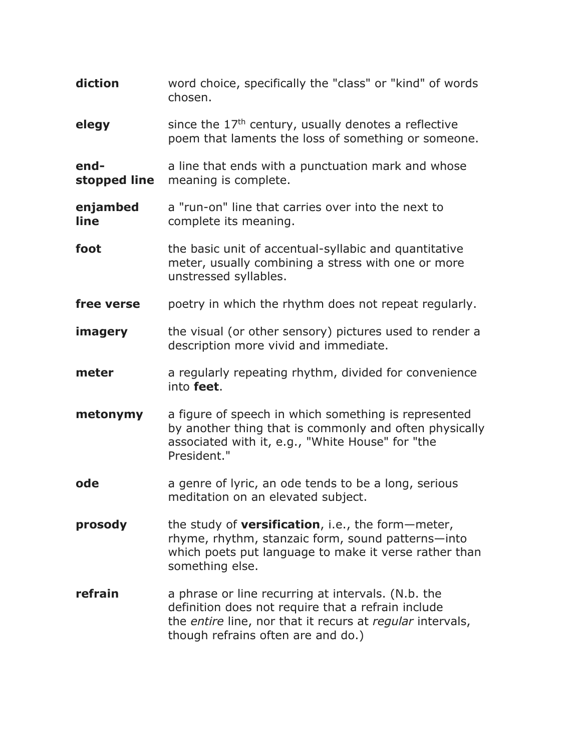| diction              | word choice, specifically the "class" or "kind" of words<br>chosen.                                                                                                                                         |
|----------------------|-------------------------------------------------------------------------------------------------------------------------------------------------------------------------------------------------------------|
| elegy                | since the $17th$ century, usually denotes a reflective<br>poem that laments the loss of something or someone.                                                                                               |
| end-<br>stopped line | a line that ends with a punctuation mark and whose<br>meaning is complete.                                                                                                                                  |
| enjambed<br>line     | a "run-on" line that carries over into the next to<br>complete its meaning.                                                                                                                                 |
| foot                 | the basic unit of accentual-syllabic and quantitative<br>meter, usually combining a stress with one or more<br>unstressed syllables.                                                                        |
| free verse           | poetry in which the rhythm does not repeat regularly.                                                                                                                                                       |
| imagery              | the visual (or other sensory) pictures used to render a<br>description more vivid and immediate.                                                                                                            |
| meter                | a regularly repeating rhythm, divided for convenience<br>into feet.                                                                                                                                         |
| metonymy             | a figure of speech in which something is represented<br>by another thing that is commonly and often physically<br>associated with it, e.g., "White House" for "the<br>President."                           |
| ode                  | a genre of lyric, an ode tends to be a long, serious<br>meditation on an elevated subject.                                                                                                                  |
| prosody              | the study of <b>versification</b> , i.e., the form-meter,<br>rhyme, rhythm, stanzaic form, sound patterns-into<br>which poets put language to make it verse rather than<br>something else.                  |
| refrain              | a phrase or line recurring at intervals. (N.b. the<br>definition does not require that a refrain include<br>the entire line, nor that it recurs at regular intervals,<br>though refrains often are and do.) |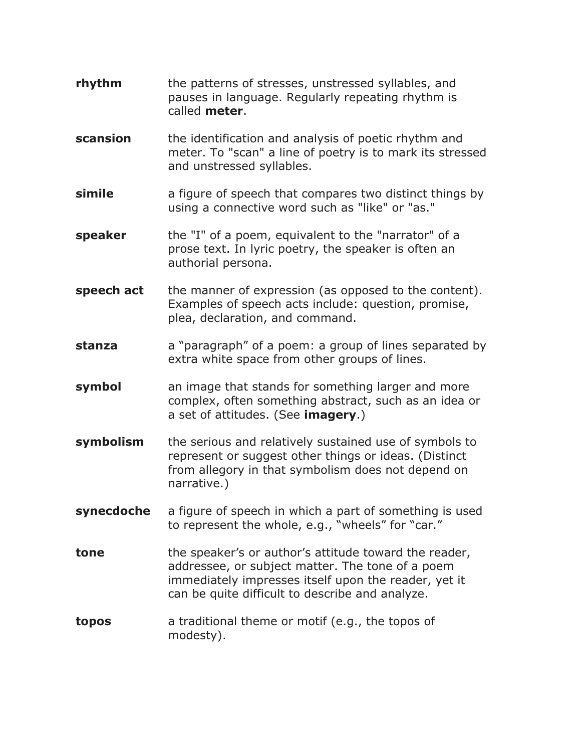- **rhythm** the patterns of stresses, unstressed syllables, and pauses in language. Regularly repeating rhythm is called **meter**.
- **scansion** the identification and analysis of poetic rhythm and meter. To "scan" a line of poetry is to mark its stressed and unstressed syllables.
- **simile** a figure of speech that compares two distinct things by using a connective word such as "like" or "as."
- **speaker** the "I" of a poem, equivalent to the "narrator" of a prose text. In lyric poetry, the speaker is often an authorial persona.
- **speech act** the manner of expression (as opposed to the content). Examples of speech acts include: question, promise, plea, declaration, and command.
- **stanza** a "paragraph" of a poem: a group of lines separated by extra white space from other groups of lines.
- **symbol** an image that stands for something larger and more complex, often something abstract, such as an idea or a set of attitudes. (See **imagery**.)
- **symbolism** the serious and relatively sustained use of symbols to represent or suggest other things or ideas. (Distinct from allegory in that symbolism does not depend on narrative.)
- **synecdoche** a figure of speech in which a part of something is used to represent the whole, e.g., "wheels" for "car."
- **tone** the speaker's or author's attitude toward the reader, addressee, or subject matter. The tone of a poem immediately impresses itself upon the reader, yet it can be quite difficult to describe and analyze.
- **topos** a traditional theme or motif (e.g., the topos of modesty).